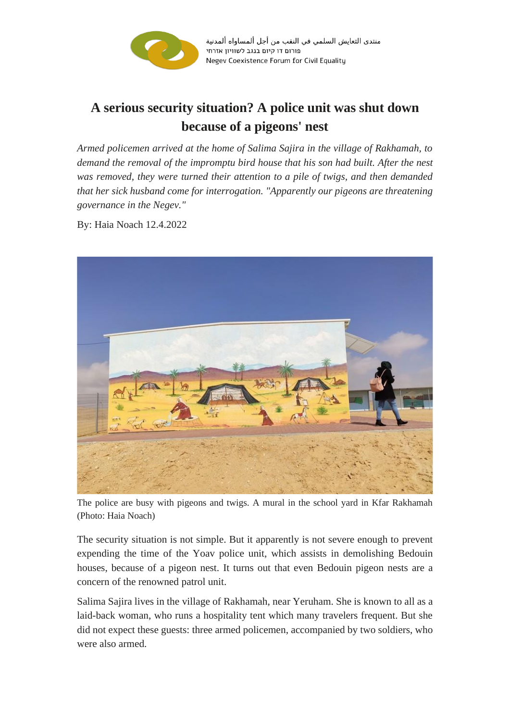

## **A serious security situation? A police unit was shut down because of a pigeons' nest**

*Armed policemen arrived at the home of Salima Sajira in the village of Rakhamah, to demand the removal of the impromptu bird house that his son had built. After the nest was removed, they were turned their attention to a pile of twigs, and then demanded that her sick husband come for interrogation. "Apparently our pigeons are threatening governance in the Negev."*

By: Haia Noach 12.4.2022



The police are busy with pigeons and twigs. A mural in the school yard in Kfar Rakhamah (Photo: Haia Noach)

The security situation is not simple. But it apparently is not severe enough to prevent expending the time of the Yoav police unit, which assists in demolishing Bedouin houses, because of a pigeon nest. It turns out that even Bedouin pigeon nests are a concern of the renowned patrol unit.

Salima Sajira lives in the village of Rakhamah, near Yeruham. She is known to all as a laid-back woman, who runs a hospitality tent which many travelers frequent. But she did not expect these guests: three armed policemen, accompanied by two soldiers, who were also armed.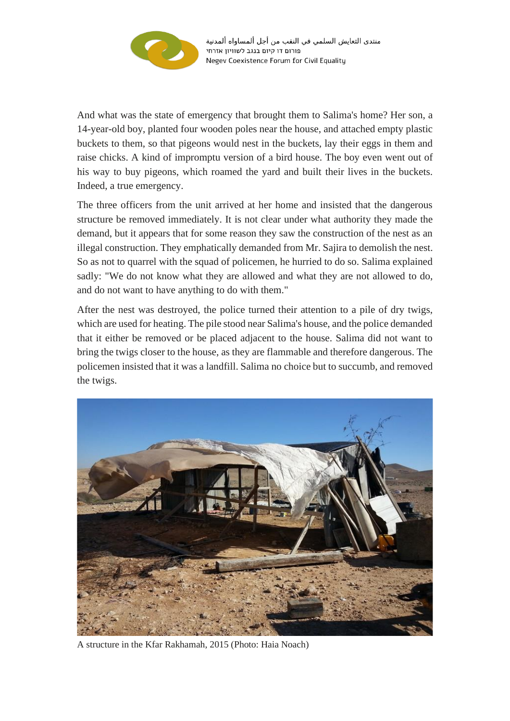

منتدى التعايش السلمي في النقب من أجل ألمساواه ألمدنية פורום דו קיום בנגב לשוויון אזרחי Negev Coexistence Forum for Civil Equality

And what was the state of emergency that brought them to Salima's home? Her son, a 14-year-old boy, planted four wooden poles near the house, and attached empty plastic buckets to them, so that pigeons would nest in the buckets, lay their eggs in them and raise chicks. A kind of impromptu version of a bird house. The boy even went out of his way to buy pigeons, which roamed the yard and built their lives in the buckets. Indeed, a true emergency.

The three officers from the unit arrived at her home and insisted that the dangerous structure be removed immediately. It is not clear under what authority they made the demand, but it appears that for some reason they saw the construction of the nest as an illegal construction. They emphatically demanded from Mr. Sajira to demolish the nest. So as not to quarrel with the squad of policemen, he hurried to do so. Salima explained sadly: "We do not know what they are allowed and what they are not allowed to do, and do not want to have anything to do with them."

After the nest was destroyed, the police turned their attention to a pile of dry twigs, which are used for heating. The pile stood near Salima's house, and the police demanded that it either be removed or be placed adjacent to the house. Salima did not want to bring the twigs closer to the house, as they are flammable and therefore dangerous. The policemen insisted that it was a landfill. Salima no choice but to succumb, and removed the twigs.



A structure in the Kfar Rakhamah, 2015 (Photo: Haia Noach)